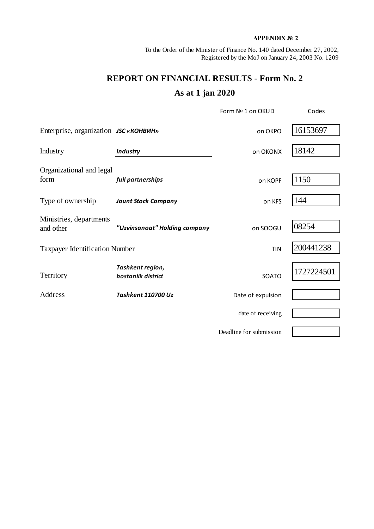## **APPENDIX № 2**

To the Order of the Minister of Finance No. 140 dated December 27, 2002, Registered by the MoJ on January 24, 2003 No. 1209

## **REPORT ON FINANCIAL RESULTS - Form No. 2 As at 1 jan 2020**

|                                       |                                        | Form Nº 1 on OKUD       | Codes      |  |
|---------------------------------------|----------------------------------------|-------------------------|------------|--|
| Enterprise, organization JSC «КОНВИН» |                                        | on OKPO                 | 16153697   |  |
| Industry                              | <b>Industry</b>                        | on OKONX                | 18142      |  |
| Organizational and legal<br>form      | full partnerships                      | on KOPF                 | 1150       |  |
| Type of ownership                     | <b>Jount Stock Company</b>             | on KFS                  | 144        |  |
| Ministries, departments<br>and other  | "Uzvinsanoat" Holding company          | on SOOGU                | 08254      |  |
| <b>Taxpayer Identification Number</b> |                                        | <b>TIN</b>              | 200441238  |  |
| Territory                             | Tashkent region,<br>bostanlik district | SOATO                   | 1727224501 |  |
| Address                               | Tashkent 110700 Uz                     | Date of expulsion       |            |  |
|                                       |                                        | date of receiving       |            |  |
|                                       |                                        | Deadline for submission |            |  |